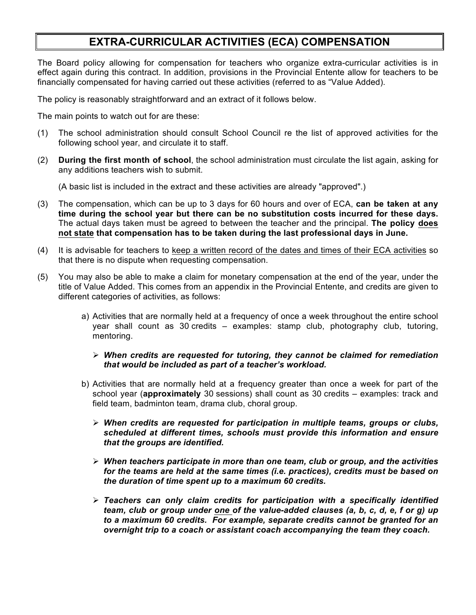## **EXTRA-CURRICULAR ACTIVITIES (ECA) COMPENSATION**

The Board policy allowing for compensation for teachers who organize extra-curricular activities is in effect again during this contract. In addition, provisions in the Provincial Entente allow for teachers to be financially compensated for having carried out these activities (referred to as "Value Added).

The policy is reasonably straightforward and an extract of it follows below.

The main points to watch out for are these:

- (1) The school administration should consult School Council re the list of approved activities for the following school year, and circulate it to staff.
- (2) **During the first month of school**, the school administration must circulate the list again, asking for any additions teachers wish to submit.

(A basic list is included in the extract and these activities are already "approved".)

- (3) The compensation, which can be up to 3 days for 60 hours and over of ECA, **can be taken at any time during the school year but there can be no substitution costs incurred for these days.**  The actual days taken must be agreed to between the teacher and the principal. **The policy does not state that compensation has to be taken during the last professional days in June.**
- (4) It is advisable for teachers to keep a written record of the dates and times of their ECA activities so that there is no dispute when requesting compensation.
- (5) You may also be able to make a claim for monetary compensation at the end of the year, under the title of Value Added. This comes from an appendix in the Provincial Entente, and credits are given to different categories of activities, as follows:
	- a) Activities that are normally held at a frequency of once a week throughout the entire school year shall count as 30 credits – examples: stamp club, photography club, tutoring, mentoring.

## Ø *When credits are requested for tutoring, they cannot be claimed for remediation that would be included as part of a teacher's workload.*

- b) Activities that are normally held at a frequency greater than once a week for part of the school year (**approximately** 30 sessions) shall count as 30 credits – examples: track and field team, badminton team, drama club, choral group.
	- Ø *When credits are requested for participation in multiple teams, groups or clubs, scheduled at different times, schools must provide this information and ensure that the groups are identified.*
	- Ø *When teachers participate in more than one team, club or group, and the activities for the teams are held at the same times (i.e. practices), credits must be based on the duration of time spent up to a maximum 60 credits.*
	- Ø *Teachers can only claim credits for participation with a specifically identified team, club or group under one of the value-added clauses (a, b, c, d, e, f or g) up to a maximum 60 credits. For example, separate credits cannot be granted for an overnight trip to a coach or assistant coach accompanying the team they coach.*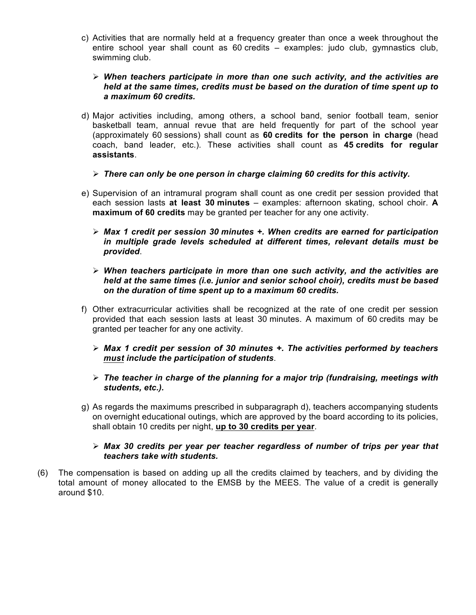- c) Activities that are normally held at a frequency greater than once a week throughout the entire school year shall count as 60 credits – examples: judo club, gymnastics club, swimming club.
	- Ø *When teachers participate in more than one such activity, and the activities are held at the same times, credits must be based on the duration of time spent up to a maximum 60 credits.*
- d) Major activities including, among others, a school band, senior football team, senior basketball team, annual revue that are held frequently for part of the school year (approximately 60 sessions) shall count as **60 credits for the person in charge** (head coach, band leader, etc.). These activities shall count as **45 credits for regular assistants**.
	- Ø *There can only be one person in charge claiming 60 credits for this activity.*
- e) Supervision of an intramural program shall count as one credit per session provided that each session lasts **at least 30 minutes** – examples: afternoon skating, school choir. **A maximum of 60 credits** may be granted per teacher for any one activity.
	- Ø *Max 1 credit per session 30 minutes +. When credits are earned for participation in multiple grade levels scheduled at different times, relevant details must be provided*.
	- Ø *When teachers participate in more than one such activity, and the activities are held at the same times (i.e. junior and senior school choir), credits must be based on the duration of time spent up to a maximum 60 credits.*
- f) Other extracurricular activities shall be recognized at the rate of one credit per session provided that each session lasts at least 30 minutes. A maximum of 60 credits may be granted per teacher for any one activity.
	- Ø *Max 1 credit per session of 30 minutes +. The activities performed by teachers must include the participation of students*.
	- $\triangleright$  The teacher in charge of the planning for a major trip (fundraising, meetings with *students, etc.).*
- g) As regards the maximums prescribed in subparagraph d), teachers accompanying students on overnight educational outings, which are approved by the board according to its policies, shall obtain 10 credits per night, **up to 30 credits per year**.
	- Ø *Max 30 credits per year per teacher regardless of number of trips per year that teachers take with students.*
- (6) The compensation is based on adding up all the credits claimed by teachers, and by dividing the total amount of money allocated to the EMSB by the MEES. The value of a credit is generally around \$10.